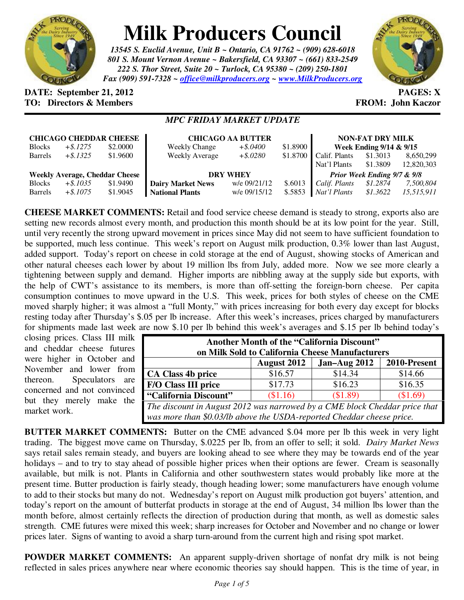

## **Milk Producers Council**

*13545 S. Euclid Avenue, Unit B ~ Ontario, CA 91762 ~ (909) 628-6018 801 S. Mount Vernon Avenue ~ Bakersfield, CA 93307 ~ (661) 833-2549 222 S. Thor Street, Suite 20 ~ Turlock, CA 95380 ~ (209) 250-1801 Fax (909) 591-7328 ~ office@milkproducers.org ~ www.MilkProducers.org*



## **DATE:** September 21, 2012 **PAGES:** X **TO: Directors & Members EXALLECTION: Solution FROM: John Kaczor**

## *MPC FRIDAY MARKET UPDATE*

| <b>CHICAGO CHEDDAR CHEESE</b>         |             |          | <b>CHICAGO AA BUTTER</b> |              |          | <b>NON-FAT DRY MILK</b>     |          |            |
|---------------------------------------|-------------|----------|--------------------------|--------------|----------|-----------------------------|----------|------------|
| <b>Blocks</b>                         | $+$ \$.1275 | \$2,0000 | <b>Weekly Change</b>     | $+$ \$.0400  | \$1.8900 | Week Ending 9/14 & 9/15     |          |            |
| <b>Barrels</b>                        | $+$ \$.1325 | \$1.9600 | <b>Weekly Average</b>    | $+$ \$.0280  | \$1.8700 | Calif. Plants               | \$1.3013 | 8,650,299  |
|                                       |             |          |                          |              |          | Nat'l Plants                | \$1.3809 | 12,820,303 |
| <b>Weekly Average, Cheddar Cheese</b> |             |          | <b>DRY WHEY</b>          |              |          | Prior Week Ending 9/7 & 9/8 |          |            |
| <b>Blocks</b>                         | $+$ \$.1035 | \$1.9490 | <b>Dairy Market News</b> | w/e 09/21/12 | \$.6013  | Calif. Plants               | \$1,2874 | 7,500,804  |
| <b>Barrels</b>                        | $+$ \$.1075 | \$1.9045 | <b>National Plants</b>   | w/e 09/15/12 | \$.5853  | Nat'l Plants                | \$1.3622 | 15.515.911 |

**CHEESE MARKET COMMENTS:** Retail and food service cheese demand is steady to strong, exports also are setting new records almost every month, and production this month should be at its low point for the year. Still, until very recently the strong upward movement in prices since May did not seem to have sufficient foundation to be supported, much less continue. This week's report on August milk production, 0.3% lower than last August, added support. Today's report on cheese in cold storage at the end of August, showing stocks of American and other natural cheeses each lower by about 19 million lbs from July, added more. Now we see more clearly a tightening between supply and demand. Higher imports are nibbling away at the supply side but exports, with the help of CWT's assistance to its members, is more than off-setting the foreign-born cheese. Per capita consumption continues to move upward in the U.S. This week, prices for both styles of cheese on the CME moved sharply higher; it was almost a "full Monty," with prices increasing for both every day except for blocks resting today after Thursday's \$.05 per lb increase. After this week's increases, prices charged by manufacturers for shipments made last week are now \$.10 per lb behind this week's averages and \$.15 per lb behind today's

closing prices. Class III milk and cheddar cheese futures were higher in October and November and lower from thereon. Speculators are concerned and not convinced but they merely make the market work.

| Another Month of the "California Discount"<br>on Milk Sold to California Cheese Manufacturers |                    |                |              |  |  |  |  |  |
|-----------------------------------------------------------------------------------------------|--------------------|----------------|--------------|--|--|--|--|--|
|                                                                                               | <b>August 2012</b> | Jan-Aug $2012$ | 2010-Present |  |  |  |  |  |
| <b>CA Class 4b price</b>                                                                      | \$16.57            | \$14.34        | \$14.66      |  |  |  |  |  |
| <b>F/O Class III price</b>                                                                    | \$17.73            | \$16.23        | \$16.35      |  |  |  |  |  |
| "California Discount"                                                                         | \$1.16             | (\$1.89)       | \$1.69       |  |  |  |  |  |
| The discount in August 2012 was narrowed by a CME block Cheddar price that                    |                    |                |              |  |  |  |  |  |
| was more than \$0.03/lb above the USDA-reported Cheddar cheese price.                         |                    |                |              |  |  |  |  |  |

**BUTTER MARKET COMMENTS:** Butter on the CME advanced \$.04 more per lb this week in very light trading. The biggest move came on Thursday, \$.0225 per lb, from an offer to sell; it sold. *Dairy Market News* says retail sales remain steady, and buyers are looking ahead to see where they may be towards end of the year holidays – and to try to stay ahead of possible higher prices when their options are fewer. Cream is seasonally available, but milk is not. Plants in California and other southwestern states would probably like more at the present time. Butter production is fairly steady, though heading lower; some manufacturers have enough volume to add to their stocks but many do not. Wednesday's report on August milk production got buyers' attention, and today's report on the amount of butterfat products in storage at the end of August, 34 million lbs lower than the month before, almost certainly reflects the direction of production during that month, as well as domestic sales strength. CME futures were mixed this week; sharp increases for October and November and no change or lower prices later. Signs of wanting to avoid a sharp turn-around from the current high and rising spot market.

**POWDER MARKET COMMENTS:** An apparent supply-driven shortage of nonfat dry milk is not being reflected in sales prices anywhere near where economic theories say should happen. This is the time of year, in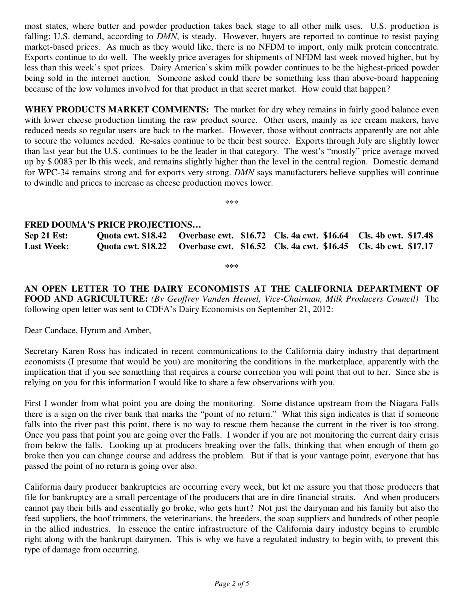most states, where butter and powder production takes back stage to all other milk uses. U.S. production is falling; U.S. demand, according to *DMN*, is steady. However, buyers are reported to continue to resist paying market-based prices. As much as they would like, there is no NFDM to import, only milk protein concentrate. Exports continue to do well. The weekly price averages for shipments of NFDM last week moved higher, but by less than this week's spot prices. Dairy America's skim milk powder continues to be the highest-priced powder being sold in the internet auction. Someone asked could there be something less than above-board happening because of the low volumes involved for that product in that secret market. How could that happen?

**WHEY PRODUCTS MARKET COMMENTS:** The market for dry whey remains in fairly good balance even with lower cheese production limiting the raw product source. Other users, mainly as ice cream makers, have reduced needs so regular users are back to the market. However, those without contracts apparently are not able to secure the volumes needed. Re-sales continue to be their best source. Exports through July are slightly lower than last year but the U.S. continues to be the leader in that category. The west's "mostly" price average moved up by \$.0083 per lb this week, and remains slightly higher than the level in the central region. Domestic demand for WPC-34 remains strong and for exports very strong. *DMN* says manufacturers believe supplies will continue to dwindle and prices to increase as cheese production moves lower.

\*\*\*

## **FRED DOUMA'S PRICE PROJECTIONS…**

**Sep 21 Est: Quota cwt. \$18.42 Overbase cwt. \$16.72 Cls. 4a cwt. \$16.64 Cls. 4b cwt. \$17.48 Last Week: Quota cwt. \$18.22 Overbase cwt. \$16.52 Cls. 4a cwt. \$16.45 Cls. 4b cwt. \$17.17** 

**\*\*\*** 

**AN OPEN LETTER TO THE DAIRY ECONOMISTS AT THE CALIFORNIA DEPARTMENT OF FOOD AND AGRICULTURE:** *(By Geoffrey Vanden Heuvel, Vice-Chairman, Milk Producers Council)* The following open letter was sent to CDFA's Dairy Economists on September 21, 2012:

Dear Candace, Hyrum and Amber,

Secretary Karen Ross has indicated in recent communications to the California dairy industry that department economists (I presume that would be you) are monitoring the conditions in the marketplace, apparently with the implication that if you see something that requires a course correction you will point that out to her. Since she is relying on you for this information I would like to share a few observations with you.

First I wonder from what point you are doing the monitoring. Some distance upstream from the Niagara Falls there is a sign on the river bank that marks the "point of no return." What this sign indicates is that if someone falls into the river past this point, there is no way to rescue them because the current in the river is too strong. Once you pass that point you are going over the Falls. I wonder if you are not monitoring the current dairy crisis from below the falls. Looking up at producers breaking over the falls, thinking that when enough of them go broke then you can change course and address the problem. But if that is your vantage point, everyone that has passed the point of no return is going over also.

California dairy producer bankruptcies are occurring every week, but let me assure you that those producers that file for bankruptcy are a small percentage of the producers that are in dire financial straits. And when producers cannot pay their bills and essentially go broke, who gets hurt? Not just the dairyman and his family but also the feed suppliers, the hoof trimmers, the veterinarians, the breeders, the soap suppliers and hundreds of other people in the allied industries. In essence the entire infrastructure of the California dairy industry begins to crumble right along with the bankrupt dairymen. This is why we have a regulated industry to begin with, to prevent this type of damage from occurring.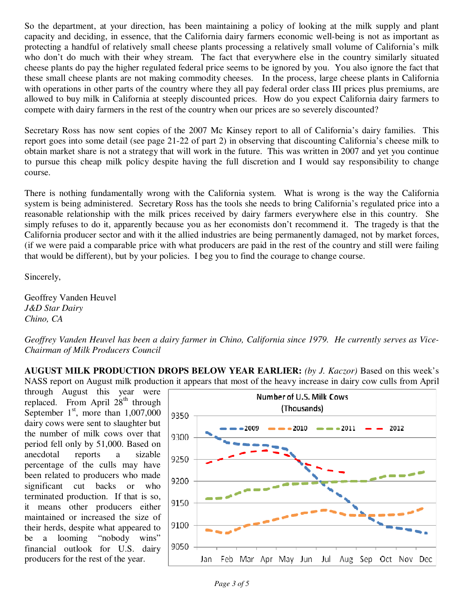So the department, at your direction, has been maintaining a policy of looking at the milk supply and plant capacity and deciding, in essence, that the California dairy farmers economic well-being is not as important as protecting a handful of relatively small cheese plants processing a relatively small volume of California's milk who don't do much with their whey stream. The fact that everywhere else in the country similarly situated cheese plants do pay the higher regulated federal price seems to be ignored by you. You also ignore the fact that these small cheese plants are not making commodity cheeses. In the process, large cheese plants in California with operations in other parts of the country where they all pay federal order class III prices plus premiums, are allowed to buy milk in California at steeply discounted prices. How do you expect California dairy farmers to compete with dairy farmers in the rest of the country when our prices are so severely discounted?

Secretary Ross has now sent copies of the 2007 Mc Kinsey report to all of California's dairy families. This report goes into some detail (see page 21-22 of part 2) in observing that discounting California's cheese milk to obtain market share is not a strategy that will work in the future. This was written in 2007 and yet you continue to pursue this cheap milk policy despite having the full discretion and I would say responsibility to change course.

There is nothing fundamentally wrong with the California system. What is wrong is the way the California system is being administered. Secretary Ross has the tools she needs to bring California's regulated price into a reasonable relationship with the milk prices received by dairy farmers everywhere else in this country. She simply refuses to do it, apparently because you as her economists don't recommend it. The tragedy is that the California producer sector and with it the allied industries are being permanently damaged, not by market forces, (if we were paid a comparable price with what producers are paid in the rest of the country and still were failing that would be different), but by your policies. I beg you to find the courage to change course.

Sincerely,

Geoffrey Vanden Heuvel *J&D Star Dairy Chino, CA* 

*Geoffrey Vanden Heuvel has been a dairy farmer in Chino, California since 1979. He currently serves as Vice-Chairman of Milk Producers Council* 

**AUGUST MILK PRODUCTION DROPS BELOW YEAR EARLIER:** *(by J. Kaczor)* Based on this week's NASS report on August milk production it appears that most of the heavy increase in dairy cow culls from April

through August this year were replaced. From April  $28<sup>th</sup>$  through September  $1<sup>st</sup>$ , more than  $1,007,000$ dairy cows were sent to slaughter but the number of milk cows over that period fell only by 51,000. Based on anecdotal reports a sizable percentage of the culls may have been related to producers who made significant cut backs or who terminated production. If that is so, it means other producers either maintained or increased the size of their herds, despite what appeared to be a looming "nobody wins" financial outlook for U.S. dairy producers for the rest of the year.

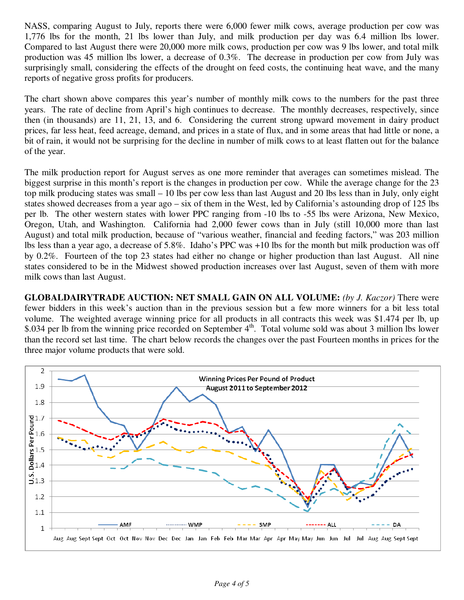NASS, comparing August to July, reports there were 6,000 fewer milk cows, average production per cow was 1,776 lbs for the month, 21 lbs lower than July, and milk production per day was 6.4 million lbs lower. Compared to last August there were 20,000 more milk cows, production per cow was 9 lbs lower, and total milk production was 45 million lbs lower, a decrease of 0.3%. The decrease in production per cow from July was surprisingly small, considering the effects of the drought on feed costs, the continuing heat wave, and the many reports of negative gross profits for producers.

The chart shown above compares this year's number of monthly milk cows to the numbers for the past three years. The rate of decline from April's high continues to decrease. The monthly decreases, respectively, since then (in thousands) are 11, 21, 13, and 6. Considering the current strong upward movement in dairy product prices, far less heat, feed acreage, demand, and prices in a state of flux, and in some areas that had little or none, a bit of rain, it would not be surprising for the decline in number of milk cows to at least flatten out for the balance of the year.

The milk production report for August serves as one more reminder that averages can sometimes mislead. The biggest surprise in this month's report is the changes in production per cow. While the average change for the 23 top milk producing states was small – 10 lbs per cow less than last August and 20 lbs less than in July, only eight states showed decreases from a year ago – six of them in the West, led by California's astounding drop of 125 lbs per lb. The other western states with lower PPC ranging from -10 lbs to -55 lbs were Arizona, New Mexico, Oregon, Utah, and Washington. California had 2,000 fewer cows than in July (still 10,000 more than last August) and total milk production, because of "various weather, financial and feeding factors," was 203 million lbs less than a year ago, a decrease of 5.8%. Idaho's PPC was +10 lbs for the month but milk production was off by 0.2%. Fourteen of the top 23 states had either no change or higher production than last August. All nine states considered to be in the Midwest showed production increases over last August, seven of them with more milk cows than last August.

**GLOBALDAIRYTRADE AUCTION: NET SMALL GAIN ON ALL VOLUME:** *(by J. Kaczor)* There were fewer bidders in this week's auction than in the previous session but a few more winners for a bit less total volume. The weighted average winning price for all products in all contracts this week was \$1.474 per lb, up \$.034 per lb from the winning price recorded on September  $4<sup>th</sup>$ . Total volume sold was about 3 million lbs lower than the record set last time. The chart below records the changes over the past Fourteen months in prices for the three major volume products that were sold.